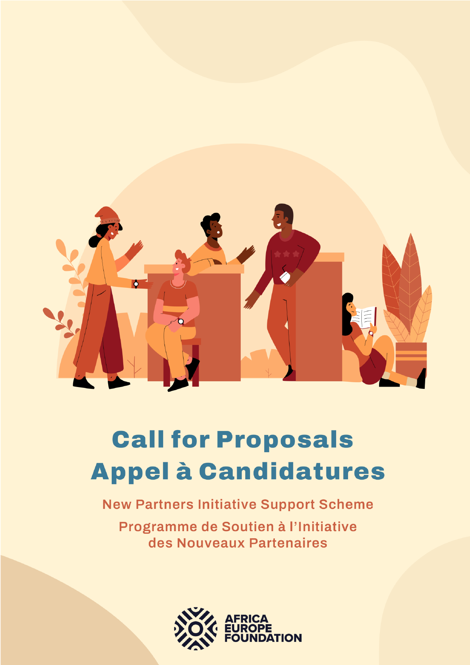

# **Call for Proposals Appel à Candidatures**

**New Partners Initiative Support Scheme** 

Programme de Soutien à l'Initiative des Nouveaux Partenaires

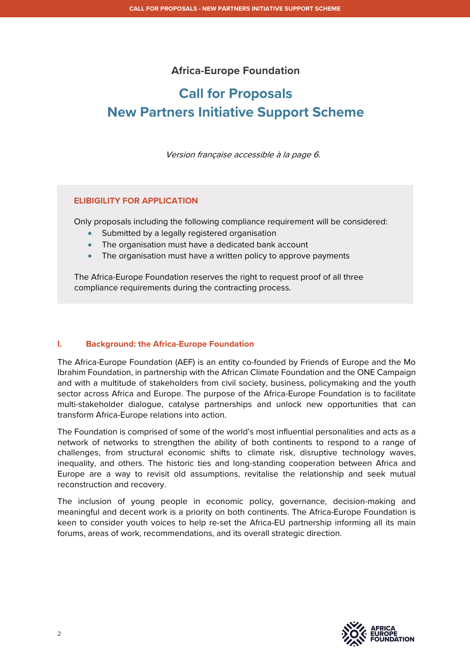## **Africa-Europe Foundation**

# **Call for Proposals New Partners Initiative Support Scheme**

Version française accessible à la page 6.

## **ELIBIGILITY FOR APPLICATION**

Only proposals including the following compliance requirement will be considered:

- Submitted by a legally registered organisation
- The organisation must have a dedicated bank account
- The organisation must have a written policy to approve payments

The Africa-Europe Foundation reserves the right to request proof of all three compliance requirements during the contracting process.

## **I. Background: the Africa-Europe Foundation**

The Africa-Europe Foundation (AEF) is an entity co-founded by Friends of Europe and the Mo Ibrahim Foundation, in partnership with the African Climate Foundation and the ONE Campaign and with a multitude of stakeholders from civil society, business, policymaking and the youth sector across Africa and Europe. The purpose of the Africa-Europe Foundation is to facilitate multi-stakeholder dialogue, catalyse partnerships and unlock new opportunities that can transform Africa-Europe relations into action.

The Foundation is comprised of some of the world's most influential personalities and acts as a network of networks to strengthen the ability of both continents to respond to a range of challenges, from structural economic shifts to climate risk, disruptive technology waves, inequality, and others. The historic ties and long-standing cooperation between Africa and Europe are a way to revisit old assumptions, revitalise the relationship and seek mutual reconstruction and recovery.

The inclusion of young people in economic policy, governance, decision-making and meaningful and decent work is a priority on both continents. The Africa-Europe Foundation is keen to consider youth voices to help re-set the Africa-EU partnership informing all its main forums, areas of work, recommendations, and its overall strategic direction.

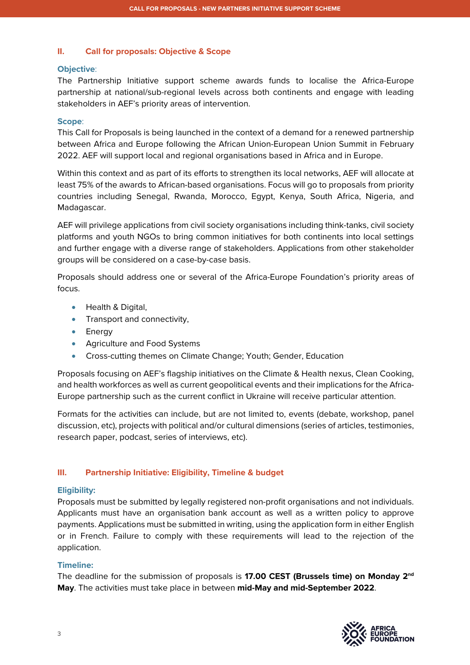## **II. Call for proposals: Objective & Scope**

## **Objective**:

The Partnership Initiative support scheme awards funds to localise the Africa-Europe partnership at national/sub-regional levels across both continents and engage with leading stakeholders in AEF's priority areas of intervention.

## **Scope**:

This Call for Proposals is being launched in the context of a demand for a renewed partnership between Africa and Europe following the African Union-European Union Summit in February 2022. AEF will support local and regional organisations based in Africa and in Europe.

Within this context and as part of its efforts to strengthen its local networks, AEF will allocate at least 75% of the awards to African-based organisations. Focus will go to proposals from priority countries including Senegal, Rwanda, Morocco, Egypt, Kenya, South Africa, Nigeria, and Madagascar.

AEF will privilege applications from civil society organisations including think-tanks, civil society platforms and youth NGOs to bring common initiatives for both continents into local settings and further engage with a diverse range of stakeholders. Applications from other stakeholder groups will be considered on a case-by-case basis.

Proposals should address one or several of the Africa-Europe Foundation's priority areas of focus.

- Health & Digital,
- Transport and connectivity,
- Energy
- Agriculture and Food Systems
- Cross-cutting themes on Climate Change; Youth; Gender, Education

Proposals focusing on AEF's flagship initiatives on the Climate & Health nexus, Clean Cooking, and health workforces as well as current geopolitical events and their implications for the Africa-Europe partnership such as the current conflict in Ukraine will receive particular attention.

Formats for the activities can include, but are not limited to, events (debate, workshop, panel discussion, etc), projects with political and/or cultural dimensions (series of articles, testimonies, research paper, podcast, series of interviews, etc).

## **III. Partnership Initiative: Eligibility, Timeline & budget**

## **Eligibility:**

Proposals must be submitted by legally registered non-profit organisations and not individuals. Applicants must have an organisation bank account as well as a written policy to approve payments. Applications must be submitted in writing, using the application form in either English or in French. Failure to comply with these requirements will lead to the rejection of the application.

## **Timeline:**

The deadline for the submission of proposals is **17.00 CEST (Brussels time) on Monday 2nd May**. The activities must take place in between **mid-May and mid-September 2022**.

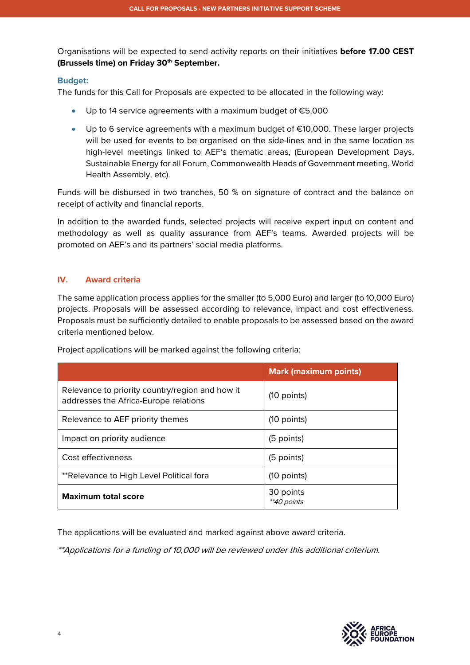Organisations will be expected to send activity reports on their initiatives **before 17.00 CEST (Brussels time) on Friday 30th September.** 

## **Budget:**

The funds for this Call for Proposals are expected to be allocated in the following way:

- Up to 14 service agreements with a maximum budget of €5,000
- Up to 6 service agreements with a maximum budget of €10,000. These larger projects will be used for events to be organised on the side-lines and in the same location as high-level meetings linked to AEF's thematic areas, (European Development Days, Sustainable Energy for all Forum, Commonwealth Heads of Government meeting, World Health Assembly, etc).

Funds will be disbursed in two tranches, 50 % on signature of contract and the balance on receipt of activity and financial reports.

In addition to the awarded funds, selected projects will receive expert input on content and methodology as well as quality assurance from AEF's teams. Awarded projects will be promoted on AEF's and its partners' social media platforms.

## **IV. Award criteria**

The same application process applies for the smaller (to 5,000 Euro) and larger (to 10,000 Euro) projects. Proposals will be assessed according to relevance, impact and cost effectiveness. Proposals must be sufficiently detailed to enable proposals to be assessed based on the award criteria mentioned below.

| Project applications will be marked against the following criteria: |  |  |
|---------------------------------------------------------------------|--|--|
|---------------------------------------------------------------------|--|--|

|                                                                                          | <b>Mark (maximum points)</b> |
|------------------------------------------------------------------------------------------|------------------------------|
| Relevance to priority country/region and how it<br>addresses the Africa-Europe relations | $(10$ points)                |
| Relevance to AEF priority themes                                                         | $(10$ points)                |
| Impact on priority audience                                                              | (5 points)                   |
| Cost effectiveness                                                                       | (5 points)                   |
| **Relevance to High Level Political fora                                                 | $(10$ points)                |
| <b>Maximum total score</b>                                                               | 30 points<br>**40 points     |

The applications will be evaluated and marked against above award criteria.

\*\*Applications for a funding of 10,000 will be reviewed under this additional criterium.

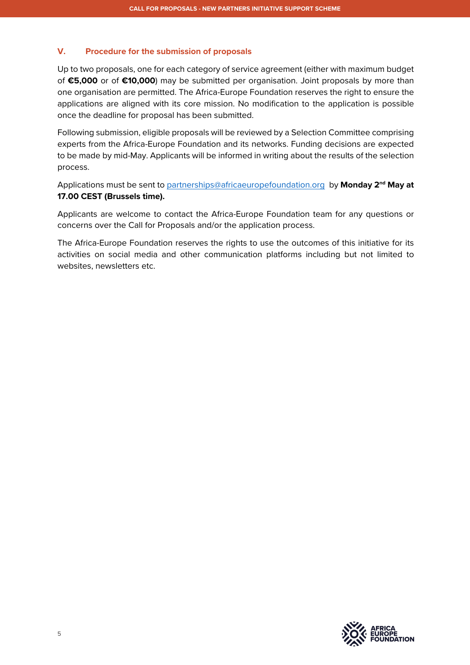## **V. Procedure for the submission of proposals**

Up to two proposals, one for each category of service agreement (either with maximum budget of **€5,000** or of **€10,000**) may be submitted per organisation. Joint proposals by more than one organisation are permitted. The Africa-Europe Foundation reserves the right to ensure the applications are aligned with its core mission. No modification to the application is possible once the deadline for proposal has been submitted.

Following submission, eligible proposals will be reviewed by a Selection Committee comprising experts from the Africa-Europe Foundation and its networks. Funding decisions are expected to be made by mid-May. Applicants will be informed in writing about the results of the selection process.

Applications must be sent to partnerships@africaeuropefoundation.org by **Monday 2nd May at 17.00 CEST (Brussels time).**

Applicants are welcome to contact the Africa-Europe Foundation team for any questions or concerns over the Call for Proposals and/or the application process.

The Africa-Europe Foundation reserves the rights to use the outcomes of this initiative for its activities on social media and other communication platforms including but not limited to websites, newsletters etc.

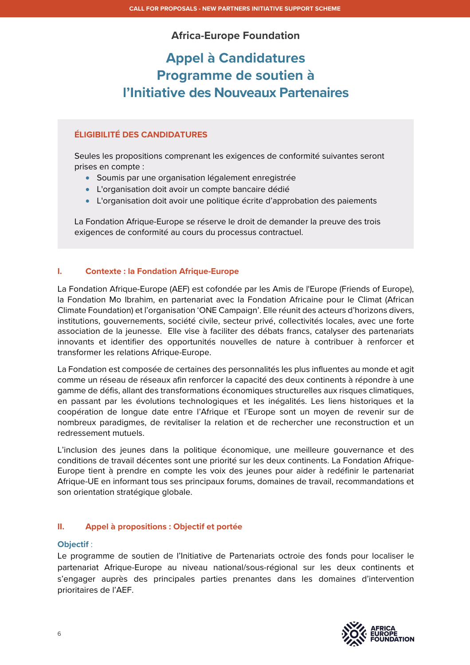## **Africa-Europe Foundation**

# **Appel à Candidatures Programme de soutien à l'Initiative des Nouveaux Partenaires**

## **ÉLIGIBILITÉ DES CANDIDATURES**

Seules les propositions comprenant les exigences de conformité suivantes seront prises en compte :

- Soumis par une organisation légalement enregistrée
- L'organisation doit avoir un compte bancaire dédié
- L'organisation doit avoir une politique écrite d'approbation des paiements

La Fondation Afrique-Europe se réserve le droit de demander la preuve des trois exigences de conformité au cours du processus contractuel.

## **I. Contexte : la Fondation Afrique-Europe**

La Fondation Afrique-Europe (AEF) est cofondée par les Amis de l'Europe (Friends of Europe), la Fondation Mo Ibrahim, en partenariat avec la Fondation Africaine pour le Climat (African Climate Foundation) et l'organisation 'ONE Campaign'. Elle réunit des acteurs d'horizons divers, institutions, gouvernements, société civile, secteur privé, collectivités locales, avec une forte association de la jeunesse. Elle vise à faciliter des débats francs, catalyser des partenariats innovants et identifier des opportunités nouvelles de nature à contribuer à renforcer et transformer les relations Afrique-Europe.

La Fondation est composée de certaines des personnalités les plus influentes au monde et agit comme un réseau de réseaux afin renforcer la capacité des deux continents à répondre à une gamme de défis, allant des transformations économiques structurelles aux risques climatiques, en passant par les évolutions technologiques et les inégalités. Les liens historiques et la coopération de longue date entre l'Afrique et l'Europe sont un moyen de revenir sur de nombreux paradigmes, de revitaliser la relation et de rechercher une reconstruction et un redressement mutuels.

L'inclusion des jeunes dans la politique économique, une meilleure gouvernance et des conditions de travail décentes sont une priorité sur les deux continents. La Fondation Afrique-Europe tient à prendre en compte les voix des jeunes pour aider à redéfinir le partenariat Afrique-UE en informant tous ses principaux forums, domaines de travail, recommandations et son orientation stratégique globale.

## **II. Appel à propositions : Objectif et portée**

## **Objectif** :

Le programme de soutien de l'Initiative de Partenariats octroie des fonds pour localiser le partenariat Afrique-Europe au niveau national/sous-régional sur les deux continents et s'engager auprès des principales parties prenantes dans les domaines d'intervention prioritaires de l'AEF.

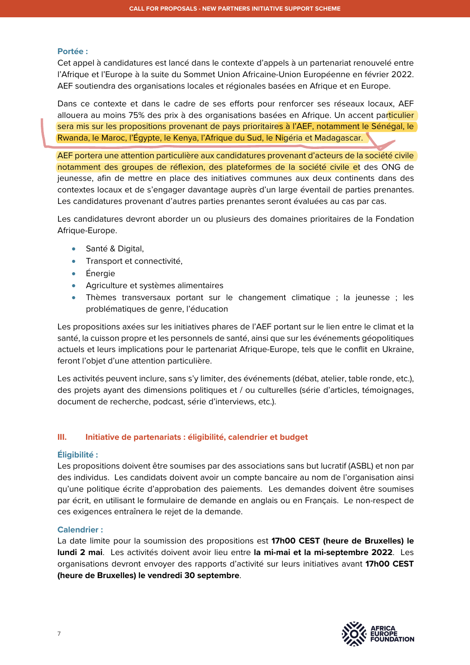#### **Portée :**

Cet appel à candidatures est lancé dans le contexte d'appels à un partenariat renouvelé entre l'Afrique et l'Europe à la suite du Sommet Union Africaine-Union Européenne en février 2022. AEF soutiendra des organisations locales et régionales basées en Afrique et en Europe.

Dans ce contexte et dans le cadre de ses efforts pour renforcer ses réseaux locaux, AEF allouera au moins 75% des prix à des organisations basées en Afrique. Un accent particulier sera mis sur les propositions provenant de pays prioritaires à l'AEF, notamment le Sénégal, le Rwanda, le Maroc, l'Égypte, le Kenya, l'Afrique du Sud, le Nigéria et Madagascar.

AEF portera une attention particulière aux candidatures provenant d'acteurs de la société civile notamment des groupes de réflexion, des plateformes de la société civile et des ONG de jeunesse, afin de mettre en place des initiatives communes aux deux continents dans des contextes locaux et de s'engager davantage auprès d'un large éventail de parties prenantes. Les candidatures provenant d'autres parties prenantes seront évaluées au cas par cas.

Les candidatures devront aborder un ou plusieurs des domaines prioritaires de la Fondation Afrique-Europe.

- Santé & Digital,
- Transport et connectivité,
- Énergie
- Agriculture et systèmes alimentaires
- Thèmes transversaux portant sur le changement climatique ; la jeunesse ; les problématiques de genre, l'éducation

Les propositions axées sur les initiatives phares de l'AEF portant sur le lien entre le climat et la santé, la cuisson propre et les personnels de santé, ainsi que sur les événements géopolitiques actuels et leurs implications pour le partenariat Afrique-Europe, tels que le conflit en Ukraine, feront l'objet d'une attention particulière.

Les activités peuvent inclure, sans s'y limiter, des événements (débat, atelier, table ronde, etc.), des projets ayant des dimensions politiques et / ou culturelles (série d'articles, témoignages, document de recherche, podcast, série d'interviews, etc.).

## **III. Initiative de partenariats : éligibilité, calendrier et budget**

## **Éligibilité :**

Les propositions doivent être soumises par des associations sans but lucratif (ASBL) et non par des individus. Les candidats doivent avoir un compte bancaire au nom de l'organisation ainsi qu'une politique écrite d'approbation des paiements. Les demandes doivent être soumises par écrit, en utilisant le formulaire de demande en anglais ou en Français. Le non-respect de ces exigences entraînera le rejet de la demande.

## **Calendrier :**

La date limite pour la soumission des propositions est **17h00 CEST (heure de Bruxelles) le lundi 2 mai**. Les activités doivent avoir lieu entre **la mi-mai et la mi-septembre 2022**. Les organisations devront envoyer des rapports d'activité sur leurs initiatives avant **17h00 CEST (heure de Bruxelles) le vendredi 30 septembre**.

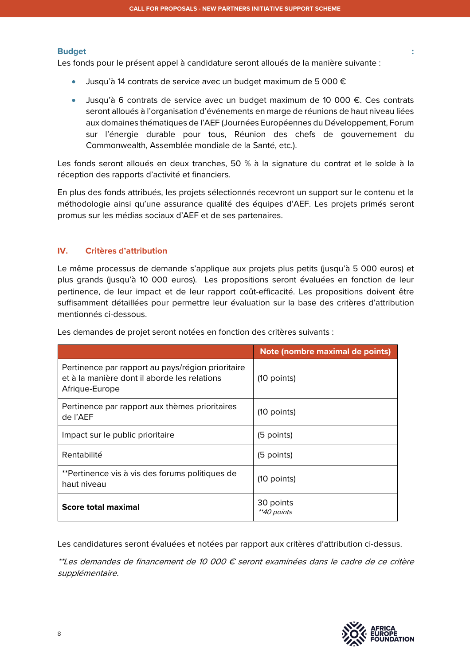#### **Budget :**

Les fonds pour le présent appel à candidature seront alloués de la manière suivante :

- Jusqu'à 14 contrats de service avec un budget maximum de 5 000  $\epsilon$
- Jusqu'à 6 contrats de service avec un budget maximum de 10 000 €. Ces contrats seront alloués à l'organisation d'événements en marge de réunions de haut niveau liées aux domaines thématiques de l'AEF (Journées Européennes du Développement, Forum sur l'énergie durable pour tous, Réunion des chefs de gouvernement du Commonwealth, Assemblée mondiale de la Santé, etc.).

Les fonds seront alloués en deux tranches, 50 % à la signature du contrat et le solde à la réception des rapports d'activité et financiers.

En plus des fonds attribués, les projets sélectionnés recevront un support sur le contenu et la méthodologie ainsi qu'une assurance qualité des équipes d'AEF. Les projets primés seront promus sur les médias sociaux d'AEF et de ses partenaires.

## **IV. Critères d'attribution**

Le même processus de demande s'applique aux projets plus petits (jusqu'à 5 000 euros) et plus grands (jusqu'à 10 000 euros). Les propositions seront évaluées en fonction de leur pertinence, de leur impact et de leur rapport coût-efficacité. Les propositions doivent être suffisamment détaillées pour permettre leur évaluation sur la base des critères d'attribution mentionnés ci-dessous.

|                                                                                                                     | Note (nombre maximal de points) |
|---------------------------------------------------------------------------------------------------------------------|---------------------------------|
| Pertinence par rapport au pays/région prioritaire<br>et à la manière dont il aborde les relations<br>Afrique-Europe | $(10$ points)                   |
| Pertinence par rapport aux thèmes prioritaires<br>de l'AEF                                                          | $(10$ points)                   |
| Impact sur le public prioritaire                                                                                    | (5 points)                      |
| Rentabilité                                                                                                         | (5 points)                      |
| **Pertinence vis à vis des forums politiques de<br>haut niveau                                                      | $(10$ points)                   |
| <b>Score total maximal</b>                                                                                          | 30 points<br><i>**40 points</i> |

Les demandes de projet seront notées en fonction des critères suivants :

Les candidatures seront évaluées et notées par rapport aux critères d'attribution ci-dessus.

\*\*Les demandes de financement de 10 000 € seront examinées dans le cadre de ce critère supplémentaire.